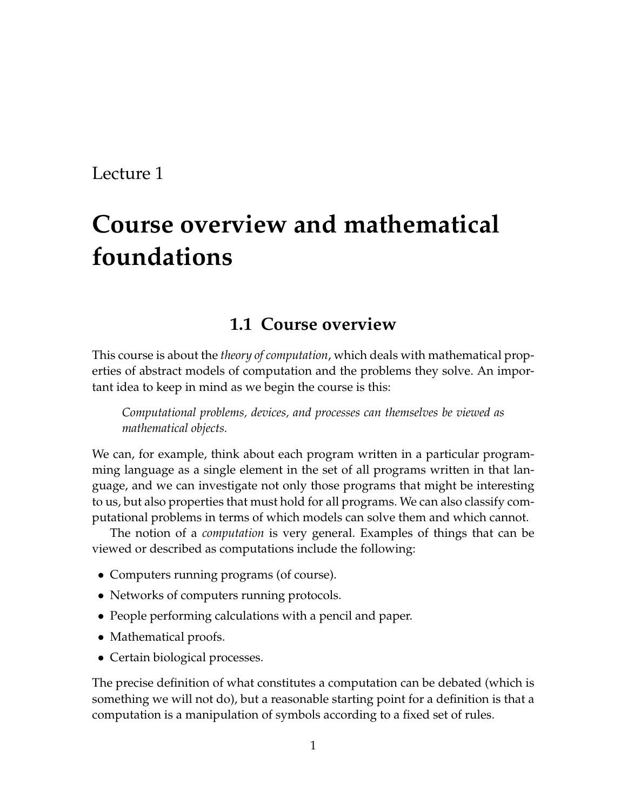# **Course overview and mathematical foundations**

# **1.1 Course overview**

This course is about the *theory of computation*, which deals with mathematical properties of abstract models of computation and the problems they solve. An important idea to keep in mind as we begin the course is this:

*Computational problems, devices, and processes can themselves be viewed as mathematical objects.*

We can, for example, think about each program written in a particular programming language as a single element in the set of all programs written in that language, and we can investigate not only those programs that might be interesting to us, but also properties that must hold for all programs. We can also classify computational problems in terms of which models can solve them and which cannot.

The notion of a *computation* is very general. Examples of things that can be viewed or described as computations include the following:

- Computers running programs (of course).
- Networks of computers running protocols.
- People performing calculations with a pencil and paper.
- Mathematical proofs.
- Certain biological processes.

The precise definition of what constitutes a computation can be debated (which is something we will not do), but a reasonable starting point for a definition is that a computation is a manipulation of symbols according to a fixed set of rules.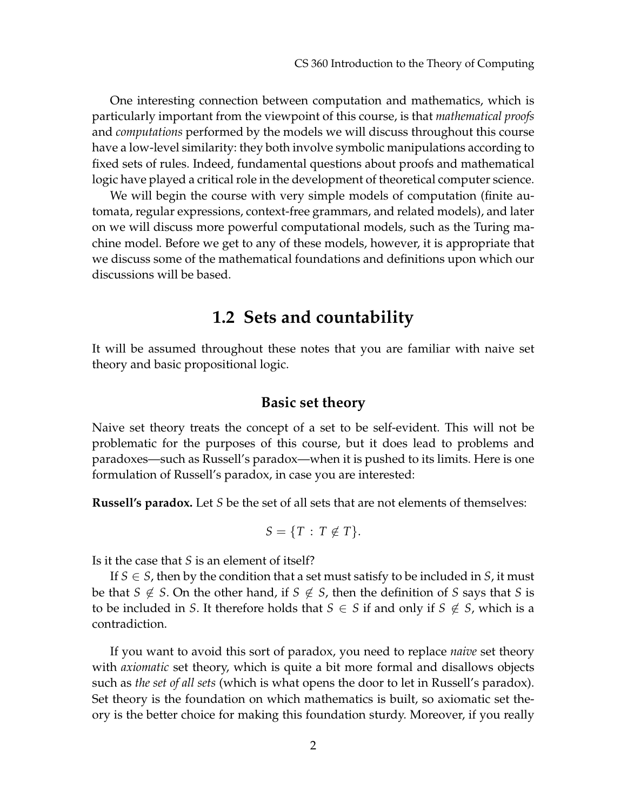One interesting connection between computation and mathematics, which is particularly important from the viewpoint of this course, is that *mathematical proofs* and *computations* performed by the models we will discuss throughout this course have a low-level similarity: they both involve symbolic manipulations according to fixed sets of rules. Indeed, fundamental questions about proofs and mathematical logic have played a critical role in the development of theoretical computer science.

We will begin the course with very simple models of computation (finite automata, regular expressions, context-free grammars, and related models), and later on we will discuss more powerful computational models, such as the Turing machine model. Before we get to any of these models, however, it is appropriate that we discuss some of the mathematical foundations and definitions upon which our discussions will be based.

## **1.2 Sets and countability**

It will be assumed throughout these notes that you are familiar with naive set theory and basic propositional logic.

## **Basic set theory**

Naive set theory treats the concept of a set to be self-evident. This will not be problematic for the purposes of this course, but it does lead to problems and paradoxes—such as Russell's paradox—when it is pushed to its limits. Here is one formulation of Russell's paradox, in case you are interested:

**Russell's paradox.** Let *S* be the set of all sets that are not elements of themselves:

$$
S = \{T : T \notin T\}.
$$

Is it the case that *S* is an element of itself?

If  $S \in S$ , then by the condition that a set must satisfy to be included in  $S$ , it must be that *S*  $\notin$  *S*. On the other hand, if *S*  $\notin$  *S*, then the definition of *S* says that *S* is to be included in *S*. It therefore holds that  $S \in S$  if and only if  $S \notin S$ , which is a contradiction.

If you want to avoid this sort of paradox, you need to replace *naive* set theory with *axiomatic* set theory, which is quite a bit more formal and disallows objects such as *the set of all sets* (which is what opens the door to let in Russell's paradox). Set theory is the foundation on which mathematics is built, so axiomatic set theory is the better choice for making this foundation sturdy. Moreover, if you really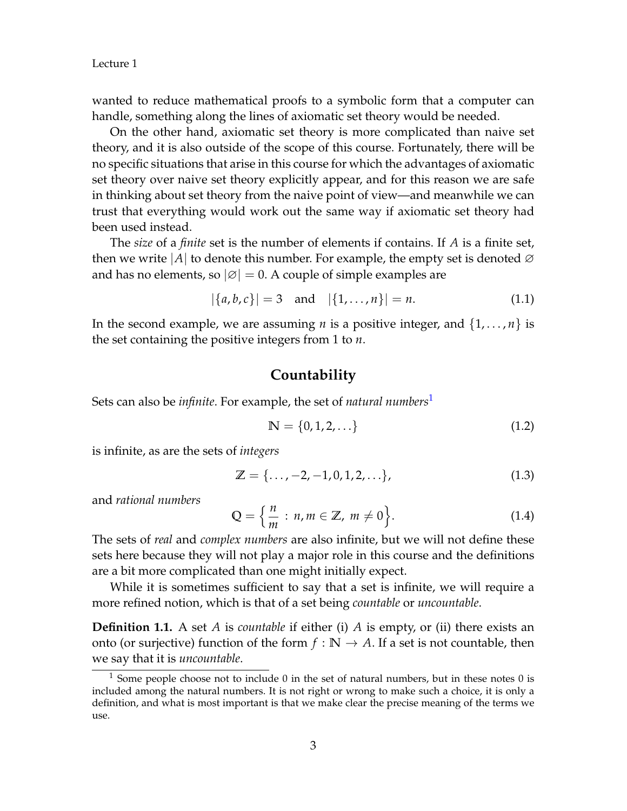wanted to reduce mathematical proofs to a symbolic form that a computer can handle, something along the lines of axiomatic set theory would be needed.

On the other hand, axiomatic set theory is more complicated than naive set theory, and it is also outside of the scope of this course. Fortunately, there will be no specific situations that arise in this course for which the advantages of axiomatic set theory over naive set theory explicitly appear, and for this reason we are safe in thinking about set theory from the naive point of view—and meanwhile we can trust that everything would work out the same way if axiomatic set theory had been used instead.

The *size* of a *finite* set is the number of elements if contains. If *A* is a finite set, then we write  $|A|$  to denote this number. For example, the empty set is denoted  $\varnothing$ and has no elements, so  $|\varnothing| = 0$ . A couple of simple examples are

$$
|\{a,b,c\}| = 3
$$
 and  $|\{1,\ldots,n\}| = n.$  (1.1)

In the second example, we are assuming *n* is a positive integer, and  $\{1, \ldots, n\}$  is the set containing the positive integers from 1 to *n*.

## **Countability**

Sets can also be *infinite*. For example, the set of *natural numbers*[1](#page-2-0)

$$
N = \{0, 1, 2, \ldots\}
$$
 (1.2)

is infinite, as are the sets of *integers*

$$
\mathbb{Z} = \{\ldots, -2, -1, 0, 1, 2, \ldots\},\tag{1.3}
$$

and *rational numbers*

$$
\mathbb{Q} = \left\{ \frac{n}{m} : n, m \in \mathbb{Z}, m \neq 0 \right\}.
$$
 (1.4)

The sets of *real* and *complex numbers* are also infinite, but we will not define these sets here because they will not play a major role in this course and the definitions are a bit more complicated than one might initially expect.

While it is sometimes sufficient to say that a set is infinite, we will require a more refined notion, which is that of a set being *countable* or *uncountable*.

<span id="page-2-1"></span>**Definition 1.1.** A set *A* is *countable* if either (i) *A* is empty, or (ii) there exists an onto (or surjective) function of the form  $f : \mathbb{N} \to A$ . If a set is not countable, then we say that it is *uncountable*.

<span id="page-2-0"></span><sup>&</sup>lt;sup>1</sup> Some people choose not to include 0 in the set of natural numbers, but in these notes 0 is included among the natural numbers. It is not right or wrong to make such a choice, it is only a definition, and what is most important is that we make clear the precise meaning of the terms we use.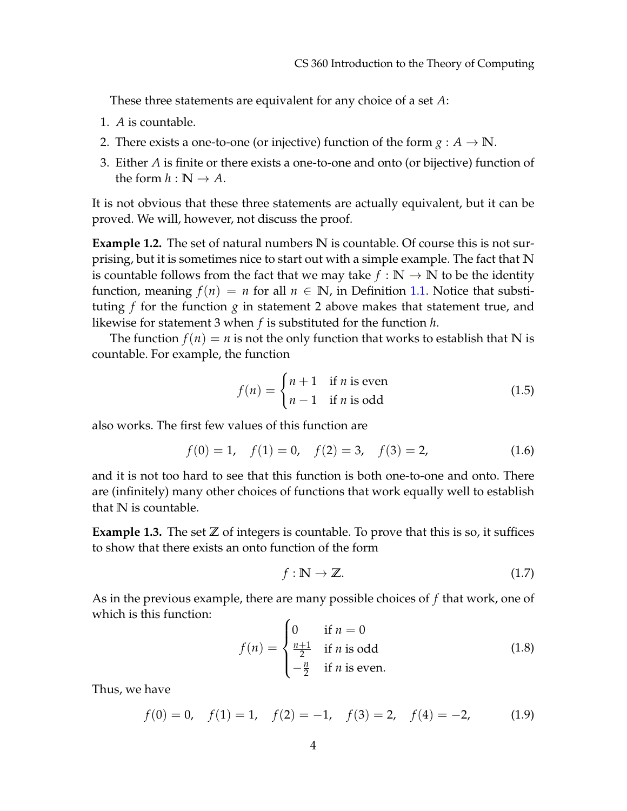These three statements are equivalent for any choice of a set *A*:

- 1. *A* is countable.
- 2. There exists a one-to-one (or injective) function of the form  $g : A \to \mathbb{N}$ .
- 3. Either *A* is finite or there exists a one-to-one and onto (or bijective) function of the form  $h : \mathbb{N} \to A$ .

It is not obvious that these three statements are actually equivalent, but it can be proved. We will, however, not discuss the proof.

**Example 1.2.** The set of natural numbers **N** is countable. Of course this is not surprising, but it is sometimes nice to start out with a simple example. The fact that **N** is countable follows from the fact that we may take  $f : \mathbb{N} \to \mathbb{N}$  to be the identity function, meaning  $f(n) = n$  for all  $n \in \mathbb{N}$ , in Definition [1.1.](#page-2-1) Notice that substituting *f* for the function *g* in statement 2 above makes that statement true, and likewise for statement 3 when *f* is substituted for the function *h*.

The function  $f(n) = n$  is not the only function that works to establish that N is countable. For example, the function

$$
f(n) = \begin{cases} n+1 & \text{if } n \text{ is even} \\ n-1 & \text{if } n \text{ is odd} \end{cases}
$$
 (1.5)

also works. The first few values of this function are

$$
f(0) = 1, \quad f(1) = 0, \quad f(2) = 3, \quad f(3) = 2,
$$
\n(1.6)

and it is not too hard to see that this function is both one-to-one and onto. There are (infinitely) many other choices of functions that work equally well to establish that **N** is countable.

**Example 1.3.** The set  $\mathbb{Z}$  of integers is countable. To prove that this is so, it suffices to show that there exists an onto function of the form

$$
f: \mathbb{N} \to \mathbb{Z}.\tag{1.7}
$$

As in the previous example, there are many possible choices of *f* that work, one of which is this function:

$$
f(n) = \begin{cases} 0 & \text{if } n = 0 \\ \frac{n+1}{2} & \text{if } n \text{ is odd} \\ -\frac{n}{2} & \text{if } n \text{ is even.} \end{cases}
$$
 (1.8)

Thus, we have

<span id="page-3-0"></span>
$$
f(0) = 0
$$
,  $f(1) = 1$ ,  $f(2) = -1$ ,  $f(3) = 2$ ,  $f(4) = -2$ , (1.9)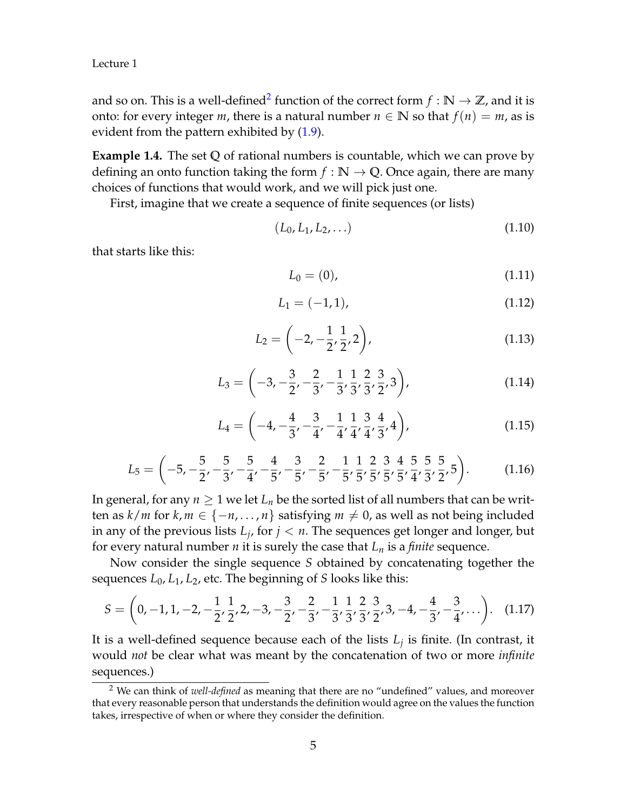and so on. This is a well-defined<sup>[2](#page-4-0)</sup> function of the correct form  $f:\mathbb{N}\rightarrow\mathbb{Z}$ , and it is onto: for every integer *m*, there is a natural number  $n \in \mathbb{N}$  so that  $f(n) = m$ , as is evident from the pattern exhibited by  $(1.9)$ .

**Example 1.4.** The set **Q** of rational numbers is countable, which we can prove by defining an onto function taking the form  $f : \mathbb{N} \to \mathbb{Q}$ . Once again, there are many choices of functions that would work, and we will pick just one.

First, imagine that we create a sequence of finite sequences (or lists)

$$
(L_0, L_1, L_2, \ldots) \tag{1.10}
$$

that starts like this:

$$
L_0 = (0), \t\t(1.11)
$$

$$
L_1 = (-1, 1), \tag{1.12}
$$

$$
L_2 = \left(-2, -\frac{1}{2}, \frac{1}{2}, 2\right),\tag{1.13}
$$

$$
L_3 = \left(-3, -\frac{3}{2}, -\frac{2}{3}, -\frac{1}{3}, \frac{1}{3}, \frac{2}{3}, \frac{3}{2}, 3\right),\tag{1.14}
$$

$$
L_4 = \left(-4, -\frac{4}{3}, -\frac{3}{4}, -\frac{1}{4}, \frac{1}{4}, \frac{3}{4}, \frac{4}{3}, 4\right),\tag{1.15}
$$

$$
L_5 = \left(-5, -\frac{5}{2}, -\frac{5}{3}, -\frac{5}{4}, -\frac{4}{5}, -\frac{3}{5}, -\frac{2}{5}, -\frac{1}{5}, \frac{1}{5}, \frac{2}{5}, \frac{3}{5}, \frac{4}{5}, \frac{5}{5}, \frac{5}{5}, \frac{5}{4}, \frac{5}{3}, \frac{5}{2}, 5\right).
$$
(1.16)

In general, for any  $n \geq 1$  we let  $L_n$  be the sorted list of all numbers that can be written as  $k/m$  for  $k, m \in \{-n, \ldots, n\}$  satisfying  $m \neq 0$ , as well as not being included in any of the previous lists *L<sup>j</sup>* , for *j* < *n*. The sequences get longer and longer, but for every natural number *n* it is surely the case that *L<sup>n</sup>* is a *finite* sequence.

Now consider the single sequence *S* obtained by concatenating together the sequences *L*0, *L*1, *L*2, etc. The beginning of *S* looks like this:

$$
S = \left(0, -1, 1, -2, -\frac{1}{2}, \frac{1}{2}, 2, -3, -\frac{3}{2}, -\frac{2}{3}, -\frac{1}{3}, \frac{1}{3}, \frac{2}{3}, \frac{3}{2}, 3, -4, -\frac{4}{3}, -\frac{3}{4}, \dots\right). \tag{1.17}
$$

It is a well-defined sequence because each of the lists *L<sup>j</sup>* is finite. (In contrast, it would *not* be clear what was meant by the concatenation of two or more *infinite* sequences.)

<span id="page-4-0"></span><sup>2</sup> We can think of *well-defined* as meaning that there are no "undefined" values, and moreover that every reasonable person that understands the definition would agree on the values the function takes, irrespective of when or where they consider the definition.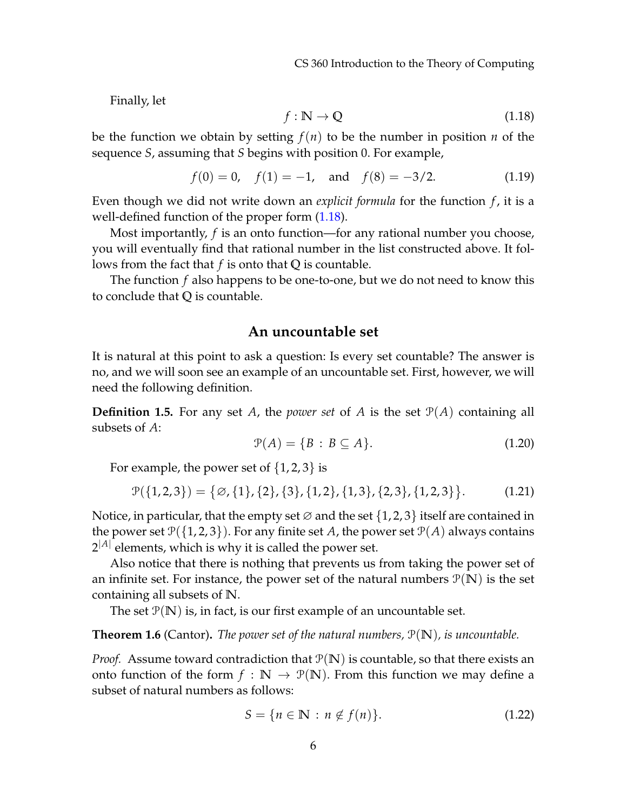CS 360 Introduction to the Theory of Computing

Finally, let

<span id="page-5-0"></span>
$$
f: \mathbb{N} \to \mathbb{Q} \tag{1.18}
$$

be the function we obtain by setting  $f(n)$  to be the number in position *n* of the sequence *S*, assuming that *S* begins with position 0. For example,

$$
f(0) = 0
$$
,  $f(1) = -1$ , and  $f(8) = -3/2$ . (1.19)

Even though we did not write down an *explicit formula* for the function *f* , it is a well-defined function of the proper form  $(1.18)$ .

Most importantly, *f* is an onto function—for any rational number you choose, you will eventually find that rational number in the list constructed above. It follows from the fact that *f* is onto that **Q** is countable.

The function *f* also happens to be one-to-one, but we do not need to know this to conclude that **Q** is countable.

#### **An uncountable set**

It is natural at this point to ask a question: Is every set countable? The answer is no, and we will soon see an example of an uncountable set. First, however, we will need the following definition.

**Definition 1.5.** For any set *A*, the *power set* of *A* is the set  $P(A)$  containing all subsets of *A*:

$$
\mathcal{P}(A) = \{ B : B \subseteq A \}. \tag{1.20}
$$

For example, the power set of  $\{1, 2, 3\}$  is

$$
\mathcal{P}(\{1,2,3\}) = \{\emptyset, \{1\}, \{2\}, \{3\}, \{1,2\}, \{1,3\}, \{2,3\}, \{1,2,3\}\}.
$$
 (1.21)

Notice, in particular, that the empty set ∅ and the set  $\{1, 2, 3\}$  itself are contained in the power set  $P({1, 2, 3})$ . For any finite set *A*, the power set  $P(A)$  always contains  $2^{|A|}$  elements, which is why it is called the power set.

Also notice that there is nothing that prevents us from taking the power set of an infinite set. For instance, the power set of the natural numbers  $P(N)$  is the set containing all subsets of **N**.

The set  $P(N)$  is, in fact, is our first example of an uncountable set.

**Theorem 1.6** (Cantor). The power set of the natural numbers,  $P(\mathbb{N})$ , is uncountable.

*Proof.* Assume toward contradiction that  $P(N)$  is countable, so that there exists an onto function of the form  $f : \mathbb{N} \to \mathcal{P}(\mathbb{N})$ . From this function we may define a subset of natural numbers as follows:

$$
S = \{ n \in \mathbb{N} : n \notin f(n) \}. \tag{1.22}
$$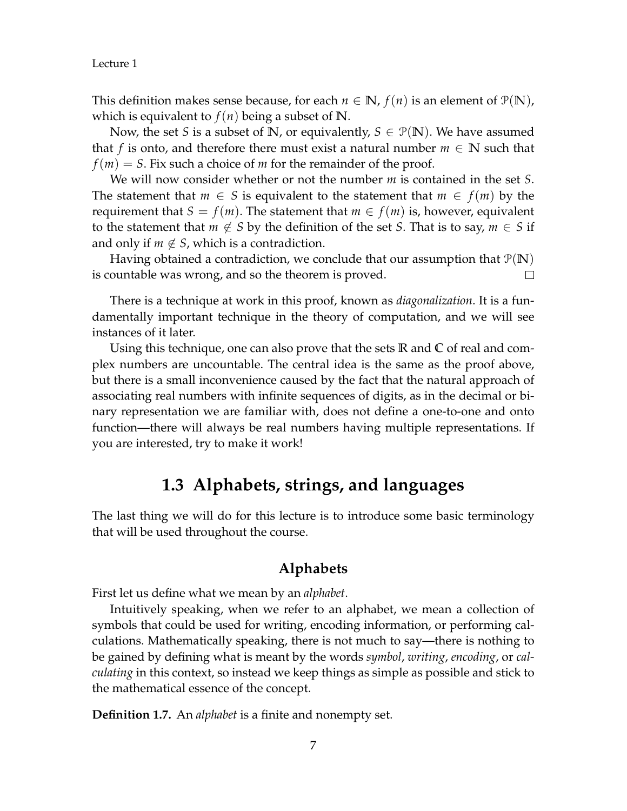This definition makes sense because, for each  $n \in \mathbb{N}$ ,  $f(n)$  is an element of  $\mathcal{P}(\mathbb{N})$ , which is equivalent to *f*(*n*) being a subset of **N**.

Now, the set *S* is a subset of N, or equivalently,  $S \in \mathcal{P}(\mathbb{N})$ . We have assumed that *f* is onto, and therefore there must exist a natural number  $m \in \mathbb{N}$  such that  $f(m) = S$ . Fix such a choice of *m* for the remainder of the proof.

We will now consider whether or not the number *m* is contained in the set *S*. The statement that  $m \in S$  is equivalent to the statement that  $m \in f(m)$  by the requirement that  $S = f(m)$ . The statement that  $m \in f(m)$  is, however, equivalent to the statement that  $m \notin S$  by the definition of the set *S*. That is to say,  $m \in S$  if and only if  $m \notin S$ , which is a contradiction.

Having obtained a contradiction, we conclude that our assumption that  $P(N)$ is countable was wrong, and so the theorem is proved.  $\Box$ 

There is a technique at work in this proof, known as *diagonalization*. It is a fundamentally important technique in the theory of computation, and we will see instances of it later.

Using this technique, one can also prove that the sets **R** and **C** of real and complex numbers are uncountable. The central idea is the same as the proof above, but there is a small inconvenience caused by the fact that the natural approach of associating real numbers with infinite sequences of digits, as in the decimal or binary representation we are familiar with, does not define a one-to-one and onto function—there will always be real numbers having multiple representations. If you are interested, try to make it work!

# **1.3 Alphabets, strings, and languages**

The last thing we will do for this lecture is to introduce some basic terminology that will be used throughout the course.

## **Alphabets**

First let us define what we mean by an *alphabet*.

Intuitively speaking, when we refer to an alphabet, we mean a collection of symbols that could be used for writing, encoding information, or performing calculations. Mathematically speaking, there is not much to say—there is nothing to be gained by defining what is meant by the words *symbol*, *writing*, *encoding*, or *calculating* in this context, so instead we keep things as simple as possible and stick to the mathematical essence of the concept.

**Definition 1.7.** An *alphabet* is a finite and nonempty set.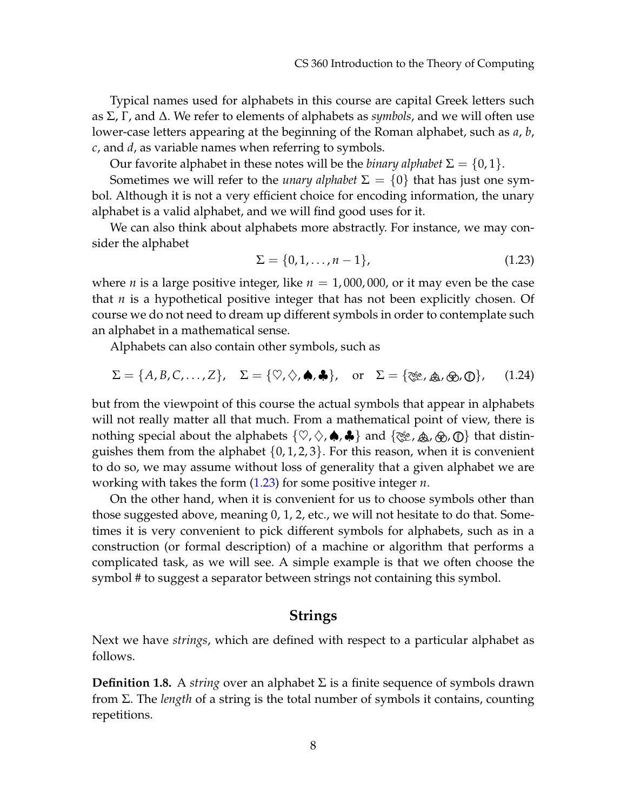Typical names used for alphabets in this course are capital Greek letters such as Σ, Γ, and ∆. We refer to elements of alphabets as *symbols*, and we will often use lower-case letters appearing at the beginning of the Roman alphabet, such as *a*, *b*, *c*, and *d*, as variable names when referring to symbols.

Our favorite alphabet in these notes will be the *binary alphabet*  $\Sigma = \{0,1\}$ .

Sometimes we will refer to the *unary alphabet*  $\Sigma = \{0\}$  that has just one symbol. Although it is not a very efficient choice for encoding information, the unary alphabet is a valid alphabet, and we will find good uses for it.

We can also think about alphabets more abstractly. For instance, we may consider the alphabet

<span id="page-7-0"></span>
$$
\Sigma = \{0, 1, \dots, n-1\},\tag{1.23}
$$

where *n* is a large positive integer, like  $n = 1,000,000$ , or it may even be the case that *n* is a hypothetical positive integer that has not been explicitly chosen. Of course we do not need to dream up different symbols in order to contemplate such an alphabet in a mathematical sense.

Alphabets can also contain other symbols, such as

$$
\Sigma = \{A, B, C, \dots, Z\}, \quad \Sigma = \{\heartsuit, \diamondsuit, \spadesuit, \clubsuit\}, \quad \text{or} \quad \Sigma = \{\text{S.}, \clubsuit, \spadesuit, \text{O.}\}, \quad (1.24)
$$

but from the viewpoint of this course the actual symbols that appear in alphabets will not really matter all that much. From a mathematical point of view, there is nothing special about the alphabets  $\{\heartsuit,\diamondsuit,\spadesuit,\clubsuit\}$  and  $\{\diamondsuit\heartsuit,\clubsuit,\clubsuit,\heartsuit\}$  that distinguishes them from the alphabet  $\{0, 1, 2, 3\}$ . For this reason, when it is convenient to do so, we may assume without loss of generality that a given alphabet we are working with takes the form [\(1.23\)](#page-7-0) for some positive integer *n*.

On the other hand, when it is convenient for us to choose symbols other than those suggested above, meaning 0, 1, 2, etc., we will not hesitate to do that. Sometimes it is very convenient to pick different symbols for alphabets, such as in a construction (or formal description) of a machine or algorithm that performs a complicated task, as we will see. A simple example is that we often choose the symbol # to suggest a separator between strings not containing this symbol.

#### **Strings**

Next we have *strings*, which are defined with respect to a particular alphabet as follows.

**Definition 1.8.** A *string* over an alphabet  $\Sigma$  is a finite sequence of symbols drawn from Σ. The *length* of a string is the total number of symbols it contains, counting repetitions.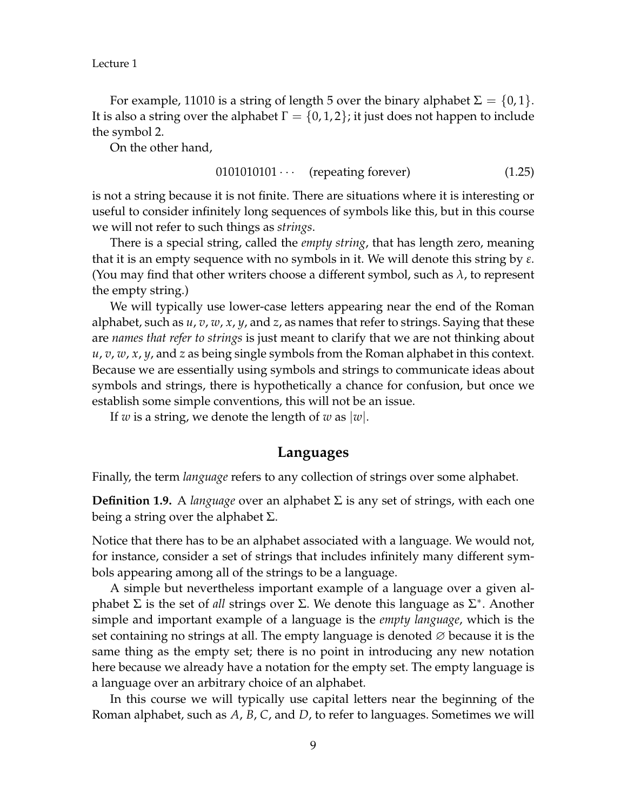For example, 11010 is a string of length 5 over the binary alphabet  $\Sigma = \{0, 1\}$ . It is also a string over the alphabet  $\Gamma = \{0, 1, 2\}$ ; it just does not happen to include the symbol 2.

On the other hand,

 $0101010101 \cdots$  (repeating forever)  $(1.25)$ 

is not a string because it is not finite. There are situations where it is interesting or useful to consider infinitely long sequences of symbols like this, but in this course we will not refer to such things as *strings*.

There is a special string, called the *empty string*, that has length zero, meaning that it is an empty sequence with no symbols in it. We will denote this string by *ε*. (You may find that other writers choose a different symbol, such as *λ*, to represent the empty string.)

We will typically use lower-case letters appearing near the end of the Roman alphabet, such as *u*, *v*, *w*, *x*, *y*, and *z*, as names that refer to strings. Saying that these are *names that refer to strings* is just meant to clarify that we are not thinking about *u*, *v*, *w*, *x*, *y*, and *z* as being single symbols from the Roman alphabet in this context. Because we are essentially using symbols and strings to communicate ideas about symbols and strings, there is hypothetically a chance for confusion, but once we establish some simple conventions, this will not be an issue.

If *w* is a string, we denote the length of *w* as  $|w|$ .

#### **Languages**

Finally, the term *language* refers to any collection of strings over some alphabet.

**Definition 1.9.** A *language* over an alphabet Σ is any set of strings, with each one being a string over the alphabet  $Σ$ .

Notice that there has to be an alphabet associated with a language. We would not, for instance, consider a set of strings that includes infinitely many different symbols appearing among all of the strings to be a language.

A simple but nevertheless important example of a language over a given alphabet  $\Sigma$  is the set of *all* strings over  $\Sigma$ . We denote this language as  $\Sigma^*$ . Another simple and important example of a language is the *empty language*, which is the set containing no strings at all. The empty language is denoted ∅ because it is the same thing as the empty set; there is no point in introducing any new notation here because we already have a notation for the empty set. The empty language is a language over an arbitrary choice of an alphabet.

In this course we will typically use capital letters near the beginning of the Roman alphabet, such as *A*, *B*, *C*, and *D*, to refer to languages. Sometimes we will